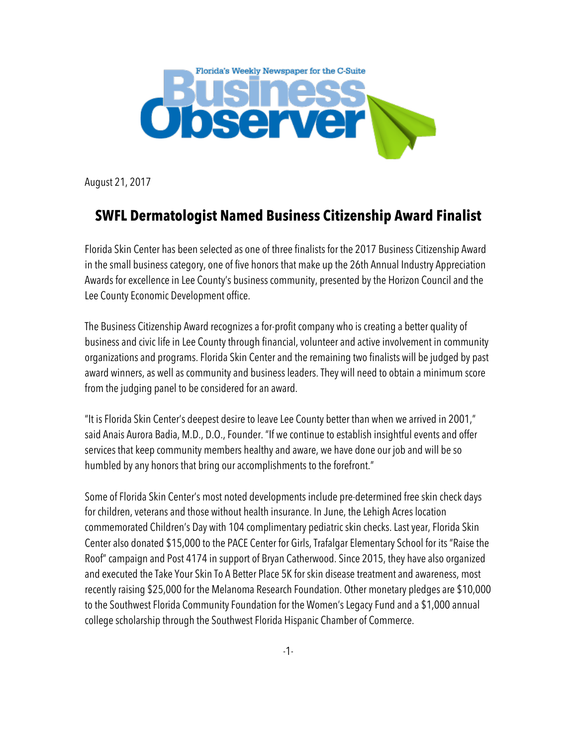

August 21, 2017

## **SWFL Dermatologist Named Business Citizenship Award Finalist**

Florida Skin Center has been selected as one of three finalists for the 2017 Business Citizenship Award in the small business category, one of five honors that make up the 26th Annual Industry Appreciation Awards for excellence in Lee County's business community, presented by the Horizon Council and the Lee County Economic Development office.

The Business Citizenship Award recognizes a for-profit company who is creating a better quality of business and civic life in Lee County through financial, volunteer and active involvement in community organizations and programs. Florida Skin Center and the remaining two finalists will be judged by past award winners, as well as community and business leaders. They will need to obtain a minimum score from the judging panel to be considered for an award.

"It is Florida Skin Center's deepest desire to leave Lee County better than when we arrived in 2001," said Anais Aurora Badia, M.D., D.O., Founder. "If we continue to establish insightful events and offer services that keep community members healthy and aware, we have done our job and will be so humbled by any honors that bring our accomplishments to the forefront."

Some of Florida Skin Center's most noted developments include pre-determined free skin check days for children, veterans and those without health insurance. In June, the Lehigh Acres location commemorated Children's Day with 104 complimentary pediatric skin checks. Last year, Florida Skin Center also donated \$15,000 to the PACE Center for Girls, Trafalgar Elementary School for its "Raise the Roof" campaign and Post 4174 in support of Bryan Catherwood. Since 2015, they have also organized and executed the Take Your Skin To A Better Place 5K for skin disease treatment and awareness, most recently raising \$25,000 for the Melanoma Research Foundation. Other monetary pledges are \$10,000 to the Southwest Florida Community Foundation for the Women's Legacy Fund and a \$1,000 annual college scholarship through the Southwest Florida Hispanic Chamber of Commerce.